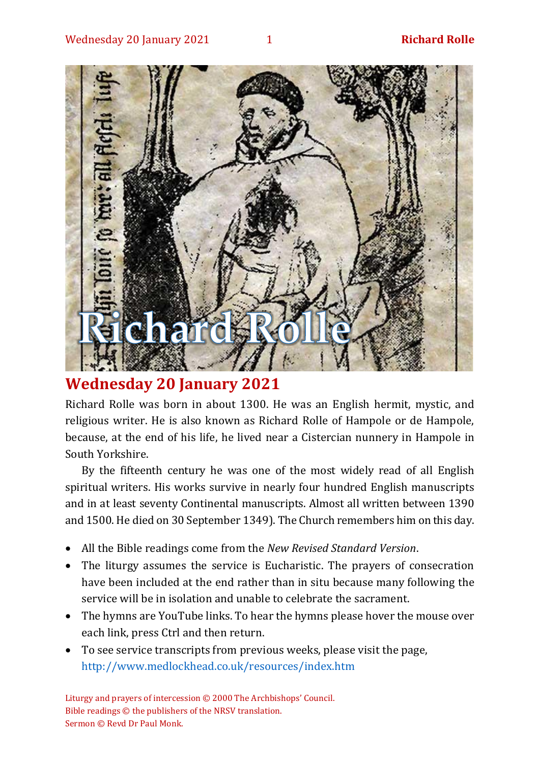

# **Wednesday 20 January 2021**

Richard Rolle was born in about 1300. He was an English hermit, mystic, and religious writer. He is also known as Richard Rolle of Hampole or de Hampole, because, at the end of his life, he lived near a Cistercian nunnery in Hampole in South Yorkshire.

By the fifteenth century he was one of the most widely read of all English spiritual writers. His works survive in nearly four hundred English manuscripts and in at least seventy Continental manuscripts. Almost all written between 1390 and 1500. He died on 30 September 1349). The Church remembers him on this day.

- All the Bible readings come from the *New Revised Standard Version*.
- The liturgy assumes the service is Eucharistic. The prayers of consecration have been included at the end rather than in situ because many following the service will be in isolation and unable to celebrate the sacrament.
- The hymns are YouTube links. To hear the hymns please hover the mouse over each link, press Ctrl and then return.
- To see service transcripts from previous weeks, please visit the page, <http://www.medlockhead.co.uk/resources/index.htm>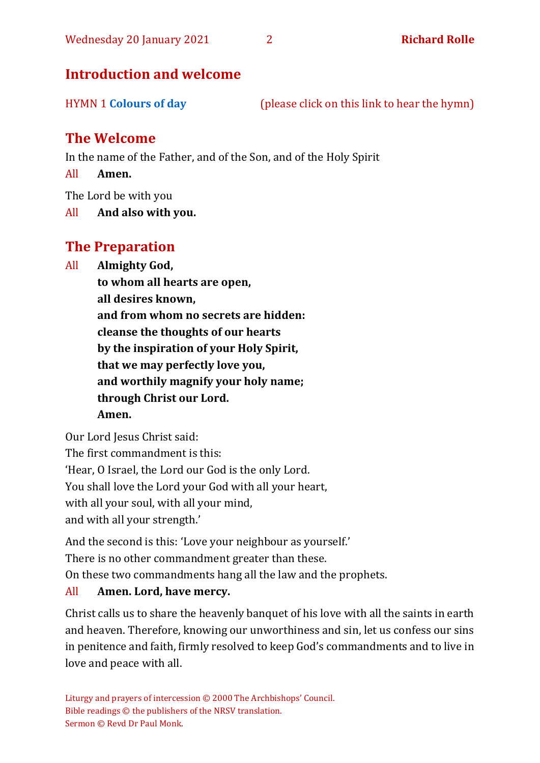# **Introduction and welcome**

HYMN 1 **[Colours of day](https://www.youtube.com/watch?v=Fo-3lf08y-Y)** (please click on this link to hear the hymn)

# **The Welcome**

In the name of the Father, and of the Son, and of the Holy Spirit

All **Amen.**

The Lord be with you

All **And also with you.**

# **The Preparation**

All **Almighty God,**

**to whom all hearts are open, all desires known, and from whom no secrets are hidden: cleanse the thoughts of our hearts by the inspiration of your Holy Spirit, that we may perfectly love you, and worthily magnify your holy name; through Christ our Lord. Amen.**

Our Lord Jesus Christ said: The first commandment is this: 'Hear, O Israel, the Lord our God is the only Lord. You shall love the Lord your God with all your heart, with all your soul, with all your mind, and with all your strength.'

And the second is this: 'Love your neighbour as yourself.'

There is no other commandment greater than these.

On these two commandments hang all the law and the prophets.

#### All **Amen. Lord, have mercy.**

Christ calls us to share the heavenly banquet of his love with all the saints in earth and heaven. Therefore, knowing our unworthiness and sin, let us confess our sins in penitence and faith, firmly resolved to keep God's commandments and to live in love and peace with all.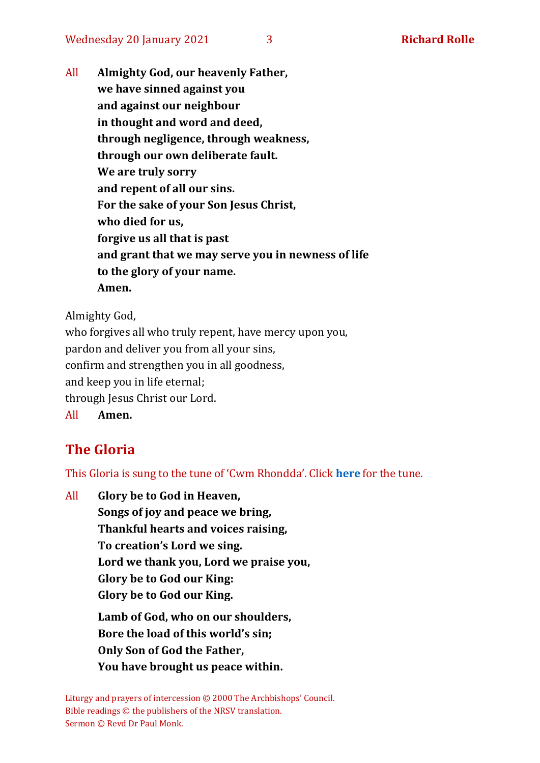Wednesday 20 January 2021 3 **Richard Rolle**

All **Almighty God, our heavenly Father, we have sinned against you and against our neighbour in thought and word and deed, through negligence, through weakness, through our own deliberate fault. We are truly sorry and repent of all our sins. For the sake of your Son Jesus Christ, who died for us, forgive us all that is past and grant that we may serve you in newness of life to the glory of your name. Amen.**

Almighty God,

who forgives all who truly repent, have mercy upon you, pardon and deliver you from all your sins, confirm and strengthen you in all goodness, and keep you in life eternal; through Jesus Christ our Lord. All **Amen.**

# **The Gloria**

This Gloria is sung to the tune of 'Cwm Rhondda'. Click **[here](about:blank)** for the tune.

All **Glory be to God in Heaven, Songs of joy and peace we bring, Thankful hearts and voices raising, To creation's Lord we sing. Lord we thank you, Lord we praise you, Glory be to God our King: Glory be to God our King. Lamb of God, who on our shoulders, Bore the load of this world's sin; Only Son of God the Father,**

**You have brought us peace within.**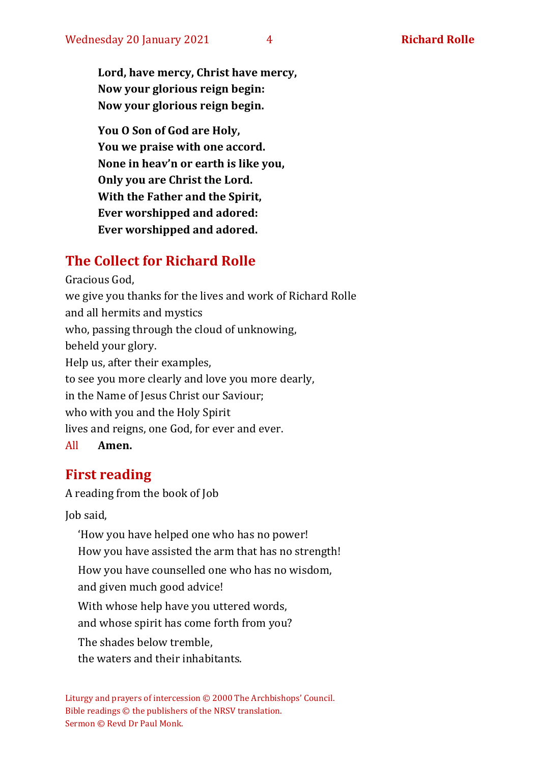**Lord, have mercy, Christ have mercy, Now your glorious reign begin: Now your glorious reign begin.**

**You O Son of God are Holy, You we praise with one accord. None in heav'n or earth is like you, Only you are Christ the Lord. With the Father and the Spirit, Ever worshipped and adored: Ever worshipped and adored.**

# **The Collect for Richard Rolle**

Gracious God, we give you thanks for the lives and work of Richard Rolle and all hermits and mystics who, passing through the cloud of unknowing, beheld your glory. Help us, after their examples, to see you more clearly and love you more dearly, in the Name of Jesus Christ our Saviour; who with you and the Holy Spirit lives and reigns, one God, for ever and ever. All **Amen.**

### **First reading**

A reading from the book of Job

Job said,

'How you have helped one who has no power! How you have assisted the arm that has no strength! How you have counselled one who has no wisdom, and given much good advice! With whose help have you uttered words, and whose spirit has come forth from you? The shades below tremble, the waters and their inhabitants.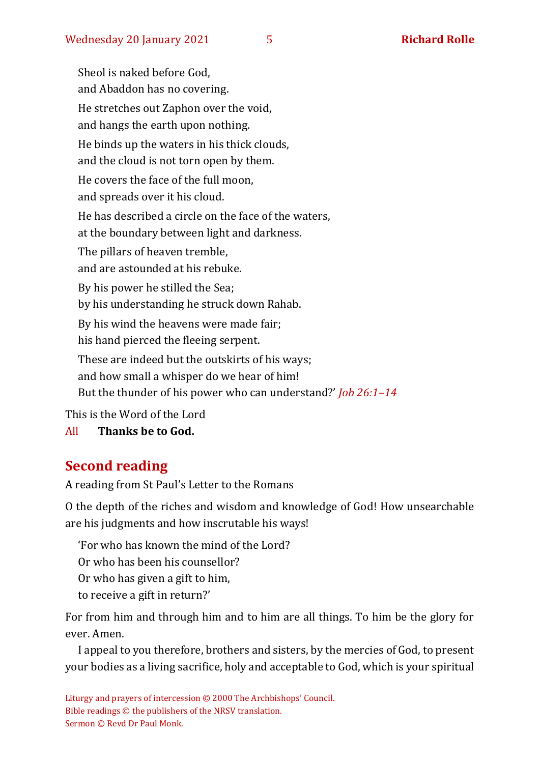Sheol is naked before God, and Abaddon has no covering. He stretches out Zaphon over the void, and hangs the earth upon nothing. He binds up the waters in his thick clouds, and the cloud is not torn open by them. He covers the face of the full moon, and spreads over it his cloud. He has described a circle on the face of the waters, at the boundary between light and darkness. The pillars of heaven tremble, and are astounded at his rebuke. By his power he stilled the Sea; by his understanding he struck down Rahab. By his wind the heavens were made fair; his hand pierced the fleeing serpent. These are indeed but the outskirts of his ways; and how small a whisper do we hear of him! But the thunder of his power who can understand?' *Job 26:1–14*

This is the Word of the Lord

All **Thanks be to God.**

# **Second reading**

A reading from St Paul's Letter to the Romans

O the depth of the riches and wisdom and knowledge of God! How unsearchable are his judgments and how inscrutable his ways!

'For who has known the mind of the Lord?

Or who has been his counsellor?

Or who has given a gift to him,

to receive a gift in return?'

For from him and through him and to him are all things. To him be the glory for ever. Amen.

I appeal to you therefore, brothers and sisters, by the mercies of God, to present your bodies as a living sacrifice, holy and acceptable to God, which is your spiritual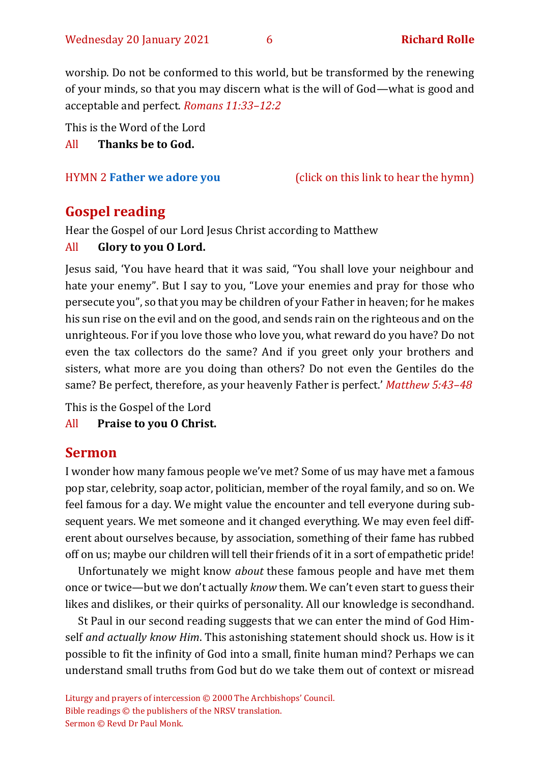worship. Do not be conformed to this world, but be transformed by the renewing of your minds, so that you may discern what is the will of God—what is good and acceptable and perfect. *Romans 11:33–12:2*

This is the Word of the Lord

All **Thanks be to God.**

HYMN 2 **[Father we adore you](https://youtu.be/8z456REiRO4)** (click on this link to hear the hymn)

### **Gospel reading**

Hear the Gospel of our Lord Jesus Christ according to Matthew

#### All **Glory to you O Lord.**

Jesus said, 'You have heard that it was said, "You shall love your neighbour and hate your enemy". But I say to you, "Love your enemies and pray for those who persecute you", so that you may be children of your Father in heaven; for he makes his sun rise on the evil and on the good, and sends rain on the righteous and on the unrighteous. For if you love those who love you, what reward do you have? Do not even the tax collectors do the same? And if you greet only your brothers and sisters, what more are you doing than others? Do not even the Gentiles do the same? Be perfect, therefore, as your heavenly Father is perfect.' *Matthew 5:43–48*

This is the Gospel of the Lord

All **Praise to you O Christ.** 

### **Sermon**

I wonder how many famous people we've met? Some of us may have met a famous pop star, celebrity, soap actor, politician, member of the royal family, and so on. We feel famous for a day. We might value the encounter and tell everyone during subsequent years. We met someone and it changed everything. We may even feel different about ourselves because, by association, something of their fame has rubbed off on us; maybe our children will tell their friends of it in a sort of empathetic pride!

Unfortunately we might know *about* these famous people and have met them once or twice—but we don't actually *know* them. We can't even start to guess their likes and dislikes, or their quirks of personality. All our knowledge is secondhand.

St Paul in our second reading suggests that we can enter the mind of God Himself *and actually know Him*. This astonishing statement should shock us. How is it possible to fit the infinity of God into a small, finite human mind? Perhaps we can understand small truths from God but do we take them out of context or misread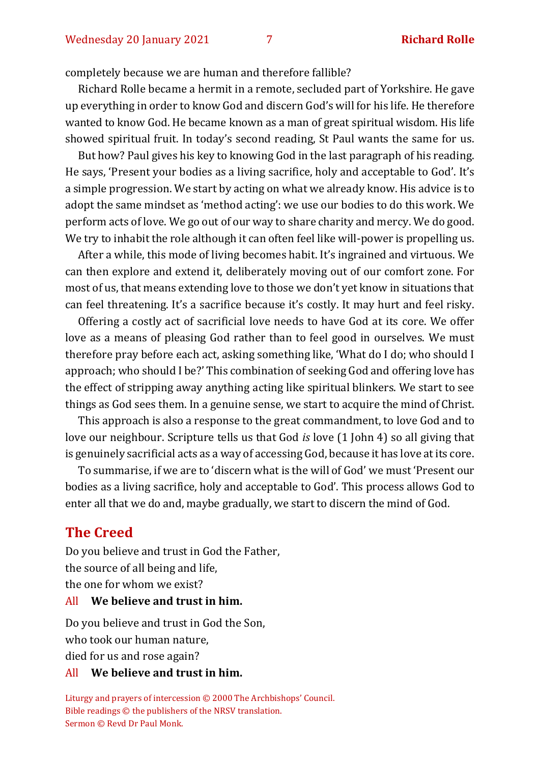completely because we are human and therefore fallible?

Richard Rolle became a hermit in a remote, secluded part of Yorkshire. He gave up everything in order to know God and discern God's will for his life. He therefore wanted to know God. He became known as a man of great spiritual wisdom. His life showed spiritual fruit. In today's second reading, St Paul wants the same for us.

But how? Paul gives his key to knowing God in the last paragraph of his reading. He says, 'Present your bodies as a living sacrifice, holy and acceptable to God'. It's a simple progression. We start by acting on what we already know. His advice is to adopt the same mindset as 'method acting': we use our bodies to do this work. We perform acts of love. We go out of our way to share charity and mercy. We do good. We try to inhabit the role although it can often feel like will-power is propelling us.

After a while, this mode of living becomes habit. It's ingrained and virtuous. We can then explore and extend it, deliberately moving out of our comfort zone. For most of us, that means extending love to those we don't yet know in situations that can feel threatening. It's a sacrifice because it's costly. It may hurt and feel risky.

Offering a costly act of sacrificial love needs to have God at its core. We offer love as a means of pleasing God rather than to feel good in ourselves. We must therefore pray before each act, asking something like, 'What do I do; who should I approach; who should I be?' This combination of seeking God and offering love has the effect of stripping away anything acting like spiritual blinkers. We start to see things as God sees them. In a genuine sense, we start to acquire the mind of Christ.

This approach is also a response to the great commandment, to love God and to love our neighbour. Scripture tells us that God *is* love (1 John 4) so all giving that is genuinely sacrificial acts as a way of accessing God, because it has love at its core.

To summarise, if we are to 'discern what is the will of God' we must 'Present our bodies as a living sacrifice, holy and acceptable to God'. This process allows God to enter all that we do and, maybe gradually, we start to discern the mind of God.

#### **The Creed**

Do you believe and trust in God the Father, the source of all being and life, the one for whom we exist?

#### All **We believe and trust in him.**

Do you believe and trust in God the Son, who took our human nature,

died for us and rose again?

#### All **We believe and trust in him.**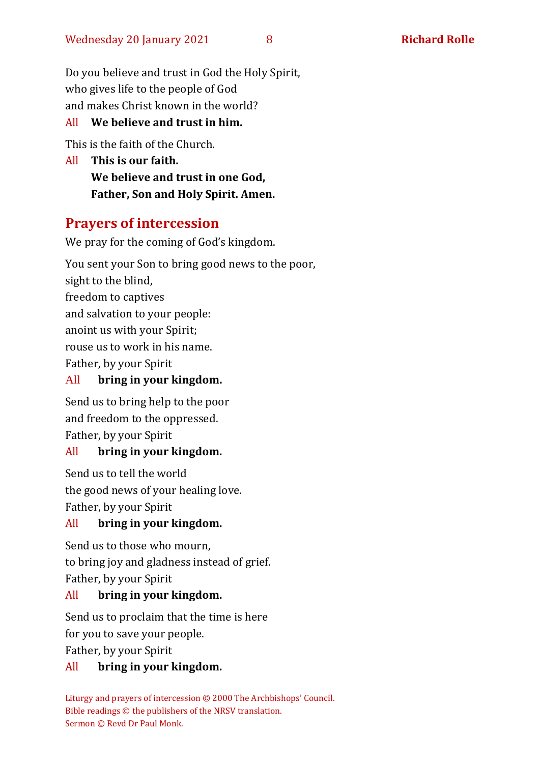Do you believe and trust in God the Holy Spirit, who gives life to the people of God and makes Christ known in the world?

#### All **We believe and trust in him.**

This is the faith of the Church.

All **This is our faith. We believe and trust in one God, Father, Son and Holy Spirit. Amen.**

# **Prayers of intercession**

We pray for the coming of God's kingdom.

You sent your Son to bring good news to the poor, sight to the blind, freedom to captives and salvation to your people: anoint us with your Spirit; rouse us to work in his name. Father, by your Spirit All **bring in your kingdom.**

Send us to bring help to the poor and freedom to the oppressed. Father, by your Spirit

#### All **bring in your kingdom.**

Send us to tell the world the good news of your healing love. Father, by your Spirit

#### All **bring in your kingdom.**

Send us to those who mourn, to bring joy and gladness instead of grief. Father, by your Spirit

#### All **bring in your kingdom.**

Send us to proclaim that the time is here for you to save your people. Father, by your Spirit

#### All **bring in your kingdom.**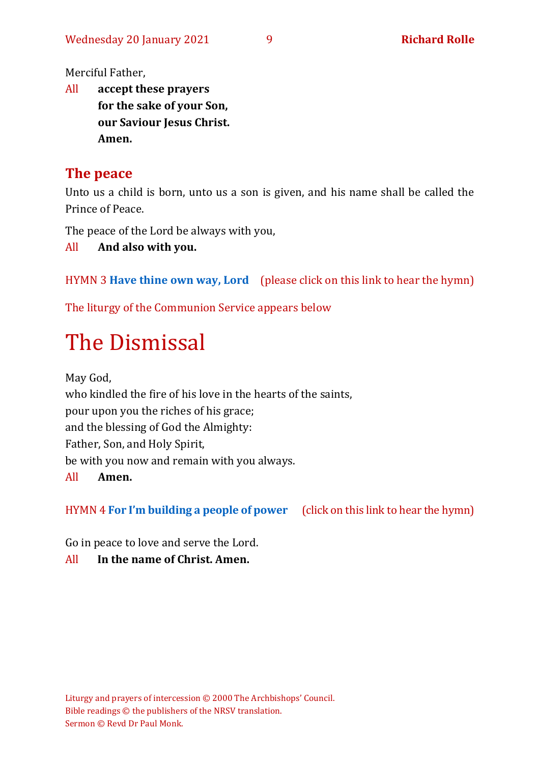Merciful Father,

All **accept these prayers for the sake of your Son, our Saviour Jesus Christ. Amen.**

### **The peace**

Unto us a child is born, unto us a son is given, and his name shall be called the Prince of Peace.

The peace of the Lord be always with you,

All **And also with you.**

HYMN 3 **[Have thine own way, Lord](https://www.youtube.com/watch?v=h0Yu4_-orSU)** (please click on this link to hear the hymn)

The liturgy of the Communion Service appears below

# The Dismissal

May God, who kindled the fire of his love in the hearts of the saints, pour upon you the riches of his grace; and the blessing of God the Almighty: Father, Son, and Holy Spirit, be with you now and remain with you always. All **Amen.**

HYMN 4 **[For I'm building a people of power](https://www.youtube.com/watch?v=fAVdz4a7s6s)** (click on this link to hear the hymn)

Go in peace to love and serve the Lord.

#### All **In the name of Christ. Amen.**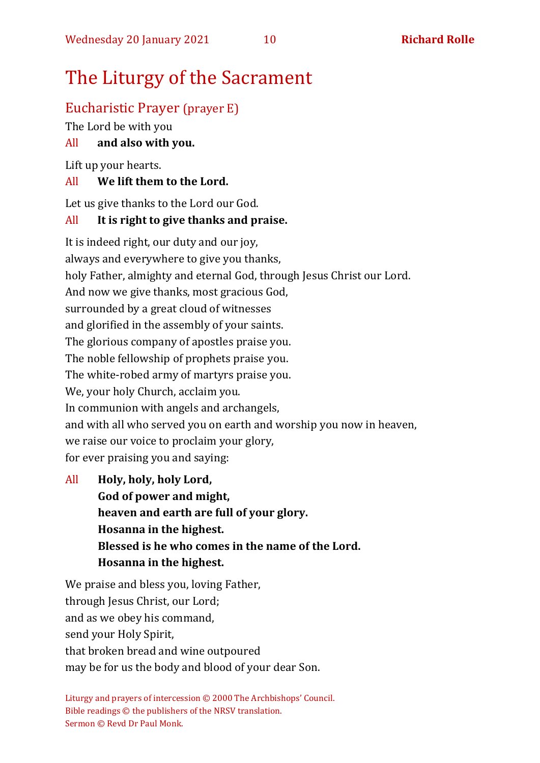# The Liturgy of the Sacrament

# Eucharistic Prayer (prayer E)

The Lord be with you

#### All **and also with you.**

Lift up your hearts.

#### All **We lift them to the Lord.**

Let us give thanks to the Lord our God.

#### All **It is right to give thanks and praise.**

It is indeed right, our duty and our joy, always and everywhere to give you thanks, holy Father, almighty and eternal God, through Jesus Christ our Lord. And now we give thanks, most gracious God, surrounded by a great cloud of witnesses and glorified in the assembly of your saints. The glorious company of apostles praise you. The noble fellowship of prophets praise you. The white-robed army of martyrs praise you. We, your holy Church, acclaim you. In communion with angels and archangels, and with all who served you on earth and worship you now in heaven, we raise our voice to proclaim your glory, for ever praising you and saying:

All **Holy, holy, holy Lord, God of power and might, heaven and earth are full of your glory. Hosanna in the highest. Blessed is he who comes in the name of the Lord. Hosanna in the highest.**

We praise and bless you, loving Father, through Jesus Christ, our Lord; and as we obey his command, send your Holy Spirit, that broken bread and wine outpoured may be for us the body and blood of your dear Son.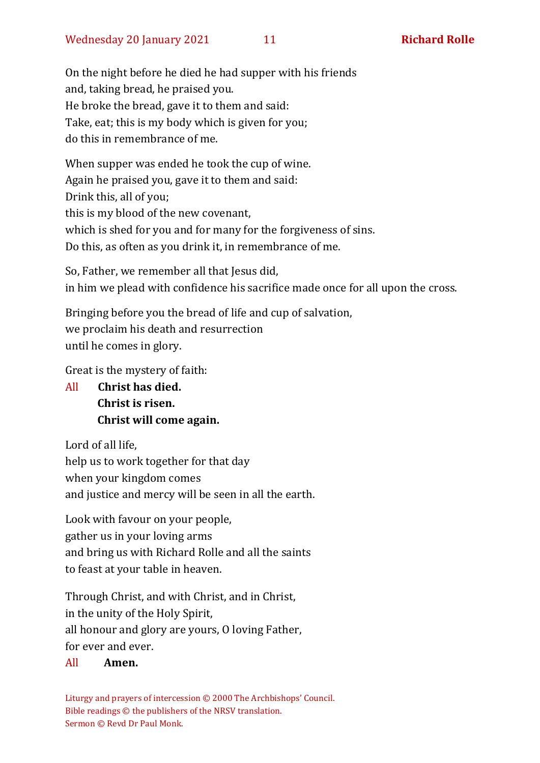On the night before he died he had supper with his friends and, taking bread, he praised you. He broke the bread, gave it to them and said: Take, eat; this is my body which is given for you; do this in remembrance of me.

When supper was ended he took the cup of wine. Again he praised you, gave it to them and said: Drink this, all of you; this is my blood of the new covenant, which is shed for you and for many for the forgiveness of sins. Do this, as often as you drink it, in remembrance of me.

So, Father, we remember all that Jesus did, in him we plead with confidence his sacrifice made once for all upon the cross.

Bringing before you the bread of life and cup of salvation, we proclaim his death and resurrection until he comes in glory.

Great is the mystery of faith:

All **Christ has died. Christ is risen. Christ will come again.**

Lord of all life, help us to work together for that day when your kingdom comes and justice and mercy will be seen in all the earth.

Look with favour on your people, gather us in your loving arms and bring us with Richard Rolle and all the saints to feast at your table in heaven.

Through Christ, and with Christ, and in Christ, in the unity of the Holy Spirit, all honour and glory are yours, O loving Father, for ever and ever.

#### All **Amen.**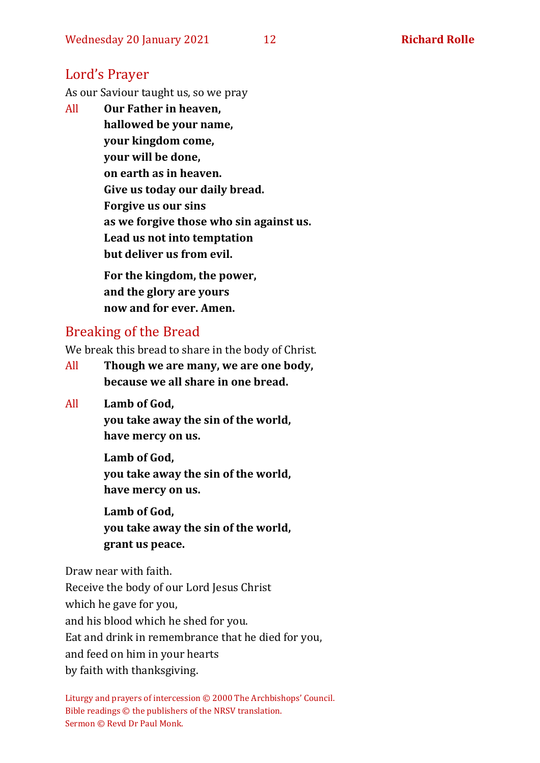### Lord's Prayer

As our Saviour taught us, so we pray

All **Our Father in heaven, hallowed be your name, your kingdom come, your will be done, on earth as in heaven. Give us today our daily bread. Forgive us our sins as we forgive those who sin against us. Lead us not into temptation but deliver us from evil. For the kingdom, the power,** 

**and the glory are yours now and for ever. Amen.**

# Breaking of the Bread

We break this bread to share in the body of Christ.

- All **Though we are many, we are one body, because we all share in one bread.**
- All **Lamb of God,**

**you take away the sin of the world, have mercy on us.**

**Lamb of God, you take away the sin of the world, have mercy on us.**

**Lamb of God, you take away the sin of the world, grant us peace.**

Draw near with faith.

Receive the body of our Lord Jesus Christ

which he gave for you,

and his blood which he shed for you.

Eat and drink in remembrance that he died for you,

and feed on him in your hearts

by faith with thanksgiving.